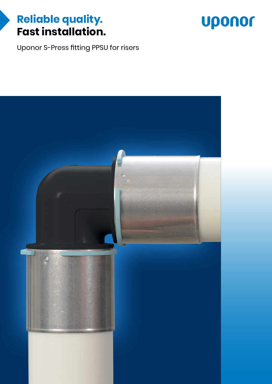## **Reliable quality. Fast installation.**



Uponor S-Press fitting PPSU for risers

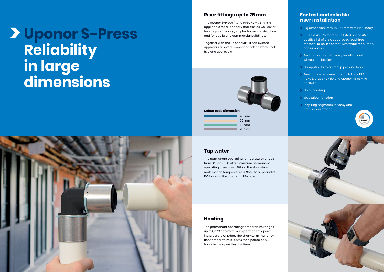#### **For fast and reliable riser installation**

- **Big dimension from 40-75mm with PPSU body**
- $\geq$  S-Press 40-75 material is listed on the 4MS positive list of the as approved lead-free material to be in contact with water for human consumption
- $\geq$  Fast installation with easy bevelling and without calibration
- Compatibility to current pipes and tools
- **>** Free choice between Uponor S-Press PPSU 40–75, brass 40–50 and Uponor RS 63–110 portfolio
- $\sum$  Colour coding
- $\sum$  Test safety function
- $\geq$  Stop ring segments for easy and precise jaw fixation





#### **Tap water**

The permanent operating temperature ranges from 0°C to 70°C at a maximum permanent operating pressure of 10bar. The short-term malfunction temperature is 95°C for a period of 100 hours in the operating life time.

#### **Heating**

The permanent operating temperature ranges up to 80°C at a maximum permanent operating pressure of 10bar. The short-term malfunction temperature is 100°C for a period of 100 hours in the operating life time.

### **Riser fittings up to 75mm**

The Uponor S-Press fitting PPSU 40 – 75mm is applicable for all sanitary facilities as well as for heating and cooling, e. g. for house construction and for public and commercial buildings.

Together with the Uponor MLC it has system approvals all over Europe for drinking water incl. hygiene approvals.



# **Uponor S-Press Reliability in large dimensions**



**Colour code dimension**